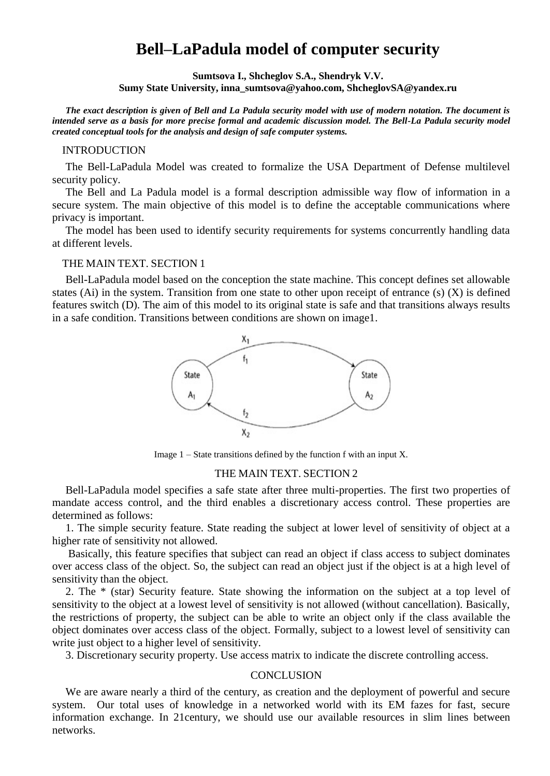# **Bell–LaPadula model of computer security**

**Sumtsova I., Shcheglov S.A., Shendryk V.V. Sumy State University, inna\_sumtsova@yahoo.com, ShcheglovSA@yandex.ru**

*The exact description is given of Bell and La Padula security model with use of modern notation. The document is intended serve as a basis for more precise formal and academic discussion model. The Bell-La Padula security model created conceptual tools for the analysis and design of safe computer systems.*

#### INTRODUCTION

The Bell-LaPadula Model was created to formalize the USA Department of Defense multilevel security policy.

The Bell and La Padula model is a formal description admissible way flow of information in a secure system. The main objective of this model is to define the acceptable communications where privacy is important.

The model has been used to identify security requirements for systems concurrently handling data at different levels.

### THE MAIN TEXT. SECTION 1

Bell-LaPadula model based on the conception the state machine. This concept defines set allowable states (Ai) in the system. Transition from one state to other upon receipt of entrance (s) (X) is defined features switch (D). The aim of this model to its original state is safe and that transitions always results in a safe condition. Transitions between conditions are shown on image1.



Image  $1 -$  State transitions defined by the function f with an input X.

#### THE MAIN TEXT. SECTION 2

Bell-LaPadula model specifies a safe state after three multi-properties. The first two properties of mandate access control, and the third enables a discretionary access control. These properties are determined as follows:

1. The simple security feature. State reading the subject at lower level of sensitivity of object at a higher rate of sensitivity not allowed.

Basically, this feature specifies that subject can read an object if class access to subject dominates over access class of the object. So, the subject can read an object just if the object is at a high level of sensitivity than the object.

2. The \* (star) Security feature. State showing the information on the subject at a top level of sensitivity to the object at a lowest level of sensitivity is not allowed (without cancellation). Basically, the restrictions of property, the subject can be able to write an object only if the class available the object dominates over access class of the object. Formally, subject to a lowest level of sensitivity can write just object to a higher level of sensitivity.

3. Discretionary security property. Use access matrix to indicate the discrete controlling access.

#### **CONCLUSION**

We are aware nearly a third of the century, as creation and the deployment of powerful and secure system. Our total uses of knowledge in a networked world with its EM fazes for fast, secure information exchange. In 21century, we should use our available resources in slim lines between networks.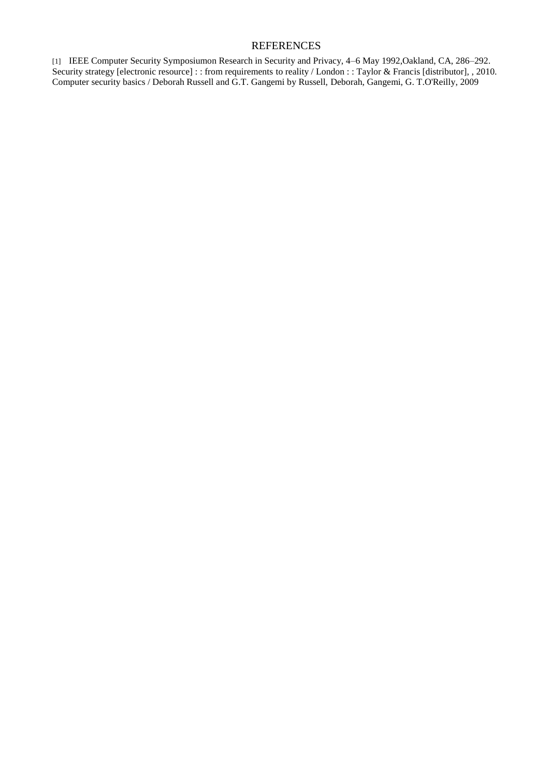## REFERENCES

[1] IEEE Computer Security Symposiumon Research in Security and Privacy, 4–6 May 1992,Oakland, CA, 286–292. Security strategy [electronic resource] : : from requirements to reality / London : : Taylor & Francis [distributor], , 2010. Computer security basics / Deborah Russell and G.T. Gangemi by Russell, Deborah, Gangemi, G. T.O'Reilly, 2009